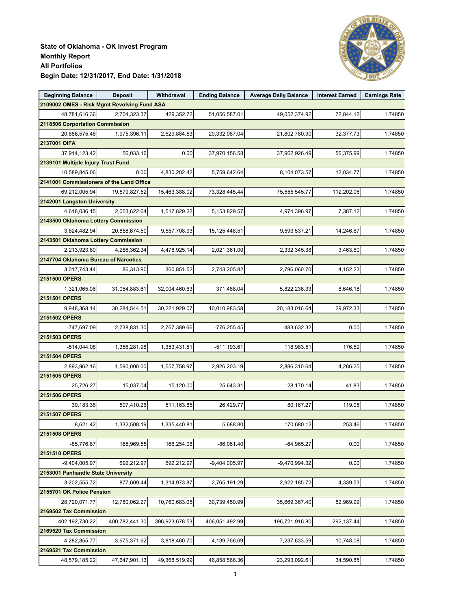

| <b>Beginning Balance</b>                    | <b>Deposit</b> | Withdrawal     | <b>Ending Balance</b> | <b>Average Daily Balance</b> | <b>Interest Earned</b> | <b>Earnings Rate</b> |
|---------------------------------------------|----------------|----------------|-----------------------|------------------------------|------------------------|----------------------|
| 2109002 OMES - Risk Mgmt Revolving Fund ASA |                |                |                       |                              |                        |                      |
| 48,781,616.36                               | 2,704,323.37   | 429,352.72     | 51,056,587.01         | 49,052,374.92                | 72,844.12              | 1.74850              |
| 2118506 Corportation Commission             |                |                |                       |                              |                        |                      |
| 20,886,575.46                               | 1,975,396.11   | 2,529,884.53   | 20,332,087.04         | 21,802,780.90                | 32,377.73              | 1.74850              |
| 2137001 OIFA                                |                |                |                       |                              |                        |                      |
| 37,914,123.42                               | 56,033.16      | 0.00           | 37,970,156.58         | 37,962,926.49                | 56,375.99              | 1.74850              |
| 2139101 Multiple Injury Trust Fund          |                |                |                       |                              |                        |                      |
| 10,589,845.06                               | 0.00           | 4,830,202.42   | 5,759,642.64          | 8,104,073.57                 | 12,034.77              | 1.74850              |
| 2141001 Commissioners of the Land Office    |                |                |                       |                              |                        |                      |
| 69,212,005.94                               | 19,579,827.52  | 15,463,388.02  | 73,328,445.44         | 75,555,545.77                | 112,202.06             | 1.74850              |
| 2142001 Langston University                 |                |                |                       |                              |                        |                      |
| 4,618,036.15                                | 2,053,622.64   | 1,517,829.22   | 5,153,829.57          | 4,974,396.97                 | 7,387.12               | 1.74850              |
| 2143500 Oklahoma Lottery Commission         |                |                |                       |                              |                        |                      |
| 3,824,482.94                                | 20,858,674.50  | 9,557,708.93   | 15,125,448.51         | 9,593,537.21                 | 14,246.67              | 1.74850              |
| 2143501 Oklahoma Lottery Commission         |                |                |                       |                              |                        |                      |
| 2,213,923.80                                | 4,286,362.34   | 4,478,925.14   | 2,021,361.00          | 2,332,345.38                 | 3,463.60               | 1.74850              |
| 2147704 Oklahoma Bureau of Narcotics        |                |                |                       |                              |                        |                      |
| 3,017,743.44                                | 86,313.90      | 360,851.52     | 2,743,205.82          | 2,796,060.70                 | 4,152.23               | 1.74850              |
| 2151500 OPERS                               |                |                |                       |                              |                        |                      |
| 1,321,065.06                                | 31,054,883.61  | 32,004,460.63  | 371,488.04            | 5,822,236.33                 | 8,646.18               | 1.74850              |
| 2151501 OPERS                               |                |                |                       |                              |                        |                      |
| 9,948,368.14                                | 30,284,544.51  | 30,221,929.07  | 10,010,983.58         | 20,183,016.64                | 29,972.33              | 1.74850              |
| 2151502 OPERS                               |                |                |                       |                              |                        |                      |
| -747,697.09                                 | 2,738,831.30   | 2,767,389.66   | $-776,255.45$         | -483,632.32                  | 0.00                   | 1.74850              |
| 2151503 OPERS                               |                |                |                       |                              |                        |                      |
| $-514,044.08$                               | 1,356,281.98   | 1,353,431.51   | $-511, 193.61$        | 118,983.51                   | 176.69                 | 1.74850              |
| 2151504 OPERS                               |                |                |                       |                              |                        |                      |
|                                             |                |                |                       |                              |                        |                      |
| 2,893,962.16                                | 1,590,000.00   | 1,557,758.97   | 2,926,203.19          | 2,886,310.64                 | 4,286.25               | 1.74850              |
| 2151505 OPERS                               |                |                |                       |                              |                        |                      |
| 25,726.27                                   | 15,037.04      | 15,120.00      | 25,643.31             | 28,170.14                    | 41.83                  | 1.74850              |
| 2151506 OPERS                               |                |                |                       |                              |                        |                      |
| 30,183.36                                   | 507,410.26     | 511,163.85     | 26,429.77             | 80,167.27                    | 119.05                 | 1.74850              |
| 2151507 OPERS                               |                |                |                       |                              |                        |                      |
| 8,621.42                                    | 1,332,508.19   | 1,335,440.81   | 5,688.80              | 170,680.12                   | 253.46                 | 1.74850              |
| 2151508 OPERS                               |                |                |                       |                              |                        |                      |
| $-85,776.87$                                | 165,969.55     | 166,254.08     | -86,061.40            | $-64,965.27$                 | 0.00                   | 1.74850              |
| 2151510 OPERS                               |                |                |                       |                              |                        |                      |
| $-9,404,005.97$                             | 692,212.97     | 692,212.97     | $-9,404,005.97$       | -9,470,994.32                | 0.00                   | 1.74850              |
| 2153001 Panhandle State University          |                |                |                       |                              |                        |                      |
| 3,202,555.72                                | 877,609.44     | 1,314,973.87   | 2,765,191.29          | 2,922,185.72                 | 4,339.53               | 1.74850              |
| 2155701 OK Police Pension                   |                |                |                       |                              |                        |                      |
| 28,720,071.77                               | 12,780,062.27  | 10,760,683.05  | 30,739,450.99         | 35,669,367.40                | 52,969.99              | 1.74850              |
| 2169502 Tax Commission                      |                |                |                       |                              |                        |                      |
| 402,192,730.22                              | 400,782,441.30 | 396,923,678.53 | 406,051,492.99        | 196,721,916.80               | 292,137.44             | 1.74850              |
| 2169520 Tax Commission                      |                |                |                       |                              |                        |                      |
| 4,282,855.77                                | 3,675,371.62   | 3,818,460.70   | 4,139,766.69          | 7,237,633.59                 | 10,748.08              | 1.74850              |
| 2169521 Tax Commission                      |                |                |                       |                              |                        |                      |
| 48,579,185.22                               | 47,647,901.13  | 49,368,519.99  | 46,858,566.36         | 23,293,092.61                | 34,590.88              | 1.74850              |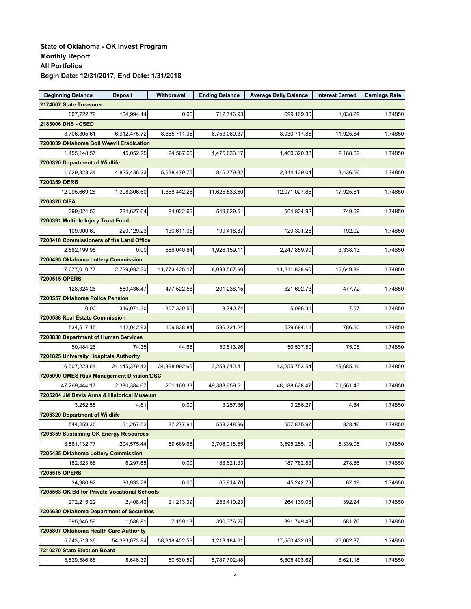| <b>Beginning Balance</b>                     | <b>Deposit</b> | Withdrawal    | <b>Ending Balance</b> | <b>Average Daily Balance</b> | <b>Interest Earned</b> | <b>Earnings Rate</b> |
|----------------------------------------------|----------------|---------------|-----------------------|------------------------------|------------------------|----------------------|
| 2174007 State Treasurer                      |                |               |                       |                              |                        |                      |
| 607,722.79                                   | 104,994.14     | 0.00          | 712,716.93            | 699,169.30                   | 1,038.29               | 1.74850              |
| 2183006 DHS - CSED                           |                |               |                       |                              |                        |                      |
| 8,706,305.61                                 | 6,912,475.72   | 8,865,711.96  | 6,753,069.37          | 8,030,717.86                 | 11,925.84              | 1.74850              |
| 7200039 Oklahoma Boll Weevil Eradication     |                |               |                       |                              |                        |                      |
| 1,455,148.57                                 | 45,052.25      | 24,567.65     | 1,475,633.17          | 1,460,320.38                 | 2,168.62               | 1.74850              |
| 7200320 Department of Wildlife               |                |               |                       |                              |                        |                      |
| 1,629,823.34                                 | 4,825,436.23   | 5,638,479.75  | 816,779.82            | 2,314,139.04                 | 3,436.56               | 1.74850              |
| 7200359 OERB                                 |                |               |                       |                              |                        |                      |
| 12,095,669.28                                | 1,398,306.60   | 1,868,442.28  | 11,625,533.60         | 12,071,027.85                | 17,925.81              | 1.74850              |
| 7200370 OIFA                                 |                |               |                       |                              |                        |                      |
| 399,024.53                                   | 234,627.64     | 84,022.66     | 549,629.51            | 504,834.92                   | 749.69                 | 1.74850              |
| 7200391 Multiple Injury Trust Fund           |                |               |                       |                              |                        |                      |
| 109,900.69                                   | 220,129.23     | 130,611.05    | 199,418.87            | 129,301.25                   | 192.02                 | 1.74850              |
| 7200410 Commissioners of the Land Office     |                |               |                       |                              |                        |                      |
| 2,582,199.95                                 | 0.00           | 656,040.84    | 1,926,159.11          | 2,247,859.90                 | 3,338.13               | 1.74850              |
| 7200435 Oklahoma Lottery Commission          |                |               |                       |                              |                        |                      |
| 17,077,010.77                                | 2,729,982.30   | 11,773,425.17 | 8,033,567.90          | 11,211,838.60                | 16,649.89              | 1.74850              |
| 7200515 OPERS                                |                |               |                       |                              |                        |                      |
| 128,324.26                                   | 550,436.47     | 477,522.58    | 201,238.15            | 321,692.73                   | 477.72                 | 1.74850              |
| 7200557 Oklahoma Police Pension              |                |               |                       |                              |                        |                      |
| 0.00                                         | 316,071.30     | 307,330.56    | 8,740.74              | 5,096.31                     | 7.57                   | 1.74850              |
| 7200588 Real Estate Commission               |                |               |                       |                              |                        |                      |
| 534,517.15                                   | 112,042.93     | 109,838.84    | 536,721.24            | 529,684.11                   | 786.60                 | 1.74850              |
| 7200830 Department of Human Services         |                |               |                       |                              |                        |                      |
| 50,484.26                                    | 74.35          | 44.65         | 50,513.96             | 50,537.50                    | 75.05                  | 1.74850              |
| 7201825 University Hospitals Authority       |                |               |                       |                              |                        |                      |
| 16,507,223.64                                | 21,145,379.42  | 34,398,992.65 | 3,253,610.41          | 13,255,753.54                | 19,685.16              | 1.74850              |
| 7205090 OMES Risk Management Division/DSC    |                |               |                       |                              |                        |                      |
| 47,269,444.17                                | 2,380,384.67   | 261,169.33    | 49,388,659.51         | 48, 188, 628. 47             | 71,561.43              | 1.74850              |
| 7205204 JM Davis Arms & Historical Museum    |                |               |                       |                              |                        |                      |
| 3,252.55                                     | 4.81           | 0.00          | 3,257.36              | 3,256.27                     | 4.84                   | 1.74850              |
| 7205320 Department of Wildlife               |                |               |                       |                              |                        |                      |
| 544,259.35                                   | 51,267.52      | 37,277.91     | 558,248.96            | 557,875.97                   | 828.46                 | 1.74850              |
| 7205359 Sustaining OK Energy Resources       |                |               |                       |                              |                        |                      |
| 3,561,132.77                                 | 204,575.44     | 59,689.66     | 3,706,018.55          | 3,595,255.10                 | 5,339.05               | 1.74850              |
| 7205435 Oklahoma Lottery Commission          |                |               |                       |                              |                        |                      |
| 182,323.68                                   | 6.297.65       | 0.00          | 188,621.33            | 187,782.83                   | 278.86                 | 1.74850              |
| 7205515 OPERS                                |                |               |                       |                              |                        |                      |
| 34,980.92                                    | 30,933.78      | 0.00          | 65,914.70             | 45,242.79                    | 67.19                  | 1.74850              |
| 7205563 OK Bd for Private Vocational Schools |                |               |                       |                              |                        |                      |
| 272,215.22                                   | 2,408.40       | 21,213.39     | 253,410.23            | 264,130.08                   | 392.24                 | 1.74850              |
| 7205630 Oklahoma Department of Securities    |                |               |                       |                              |                        |                      |
| 395,946.59                                   | 1,588.81       | 7,159.13      | 390,376.27            | 391,749.48                   | 581.76                 | 1.74850              |
| 7205807 Oklahoma Health Care Authority       |                |               |                       |                              |                        |                      |
| 5,743,513.36                                 | 54,393,073.84  | 58,918,402.59 | 1,218,184.61          | 17,550,432.09                | 26,062.87              | 1.74850              |
| 7210270 State Election Board                 |                |               |                       |                              |                        |                      |
| 5,829,586.68                                 | 8,646.39       | 50,530.59     | 5,787,702.48          | 5,805,403.62                 | 8,621.18               | 1.74850              |
|                                              |                |               |                       |                              |                        |                      |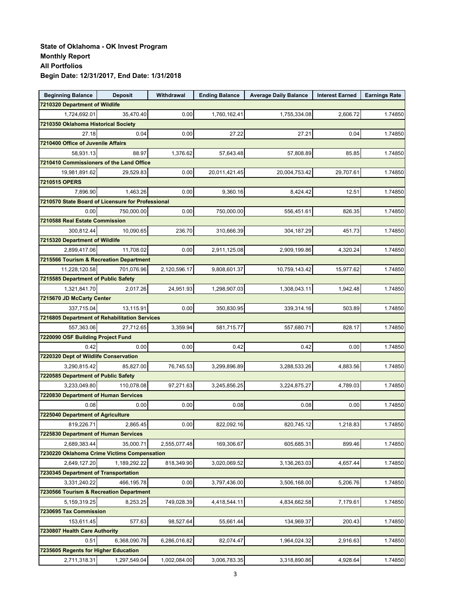| <b>Beginning Balance</b>                             | <b>Deposit</b> | Withdrawal   | <b>Ending Balance</b> | <b>Average Daily Balance</b> | <b>Interest Earned</b> | <b>Earnings Rate</b> |
|------------------------------------------------------|----------------|--------------|-----------------------|------------------------------|------------------------|----------------------|
| 7210320 Department of Wildlife                       |                |              |                       |                              |                        |                      |
| 1,724,692.01                                         | 35,470.40      | 0.00         | 1,760,162.41          | 1,755,334.08                 | 2,606.72               | 1.74850              |
| 7210350 Oklahoma Historical Society                  |                |              |                       |                              |                        |                      |
| 27.18                                                | 0.04           | 0.00         | 27.22                 | 27.21                        | 0.04                   | 1.74850              |
| 7210400 Office of Juvenile Affairs                   |                |              |                       |                              |                        |                      |
| 58,931.13                                            | 88.97          | 1,376.62     | 57,643.48             | 57,808.89                    | 85.85                  | 1.74850              |
| 7210410 Commissioners of the Land Office             |                |              |                       |                              |                        |                      |
| 19,981,891.62                                        | 29,529.83      | 0.00         | 20,011,421.45         | 20,004,753.42                | 29,707.61              | 1.74850              |
| 7210515 OPERS                                        |                |              |                       |                              |                        |                      |
| 7,896.90                                             | 1,463.26       | 0.00         | 9,360.16              | 8,424.42                     | 12.51                  | 1.74850              |
| 7210570 State Board of Licensure for Professional    |                |              |                       |                              |                        |                      |
| 0.00                                                 | 750,000.00     | 0.00         | 750,000.00            | 556,451.61                   | 826.35                 | 1.74850              |
| 7210588 Real Estate Commission                       |                |              |                       |                              |                        |                      |
| 300,812.44                                           | 10,090.65      | 236.70       | 310,666.39            | 304,187.29                   | 451.73                 | 1.74850              |
| 7215320 Department of Wildlife                       |                |              |                       |                              |                        |                      |
| 2,899,417.06                                         | 11,708.02      | 0.00         | 2,911,125.08          | 2,909,199.86                 | 4,320.24               | 1.74850              |
| 7215566 Tourism & Recreation Department              |                |              |                       |                              |                        |                      |
| 11,228,120.58                                        | 701,076.96     | 2,120,596.17 | 9.808.601.37          | 10,759,143.42                | 15.977.62              | 1.74850              |
| 7215585 Department of Public Safety                  |                |              |                       |                              |                        |                      |
| 1,321,841.70                                         | 2,017.26       | 24,951.93    | 1,298,907.03          | 1,308,043.11                 | 1,942.48               | 1.74850              |
| 7215670 JD McCarty Center                            |                |              |                       |                              |                        |                      |
| 337,715.04                                           | 13,115.91      | 0.00         | 350,830.95            | 339,314.16                   | 503.89                 | 1.74850              |
| <b>7216805 Department of Rehabilitation Services</b> |                |              |                       |                              |                        |                      |
| 557,363.06                                           | 27,712.65      | 3,359.94     | 581,715.77            | 557,680.71                   | 828.17                 | 1.74850              |
| 7220090 OSF Building Project Fund                    |                |              |                       |                              |                        |                      |
| 0.42                                                 | 0.00           | 0.00         | 0.42                  | 0.42                         | 0.00                   | 1.74850              |
| 7220320 Dept of Wildlife Conservation                |                |              |                       |                              |                        |                      |
| 3,290,815.42                                         | 85,827.00      | 76,745.53    | 3,299,896.89          | 3,288,533.26                 | 4,883.56               | 1.74850              |
| 7220585 Department of Public Safety                  |                |              |                       |                              |                        |                      |
| 3,233,049.80                                         | 110,078.08     | 97,271.63    | 3,245,856.25          | 3,224,875.27                 | 4,789.03               | 1.74850              |
| 7220830 Department of Human Services                 |                |              |                       |                              |                        |                      |
| 0.08                                                 | 0.00           | 0.00         | 0.08                  | 0.08                         | 0.00                   | 1.74850              |
| 7225040 Department of Agriculture                    |                |              |                       |                              |                        |                      |
| 819,226.71                                           | 2,865.45       | 0.00         | 822,092.16            | 820,745.12                   | 1,218.83               | 1.74850              |
| 7225830 Department of Human Services                 |                |              |                       |                              |                        |                      |
| 2,689,383.44                                         | 35,000.71      | 2,555,077.48 | 169,306.67            | 605,685.31                   | 899.46                 | 1.74850              |
| 7230220 Oklahoma Crime Victims Compensation          |                |              |                       |                              |                        |                      |
| 2,649,127.20                                         | 1,189,292.22   | 818,349.90   | 3,020,069.52          | 3,136,263.03                 | 4,657.44               | 1.74850              |
| 7230345 Department of Transportation                 |                |              |                       |                              |                        |                      |
| 3,331,240.22                                         | 466,195.78     | 0.00         | 3,797,436.00          | 3,506,168.00                 | 5,206.76               | 1.74850              |
| 7230566 Tourism & Recreation Department              |                |              |                       |                              |                        |                      |
| 5,159,319.25                                         | 8,253.25       | 749,028.39   | 4,418,544.11          | 4,834,662.58                 | 7,179.61               | 1.74850              |
| 7230695 Tax Commission                               |                |              |                       |                              |                        |                      |
| 153,611.45                                           | 577.63         | 98,527.64    | 55,661.44             | 134,969.37                   | 200.43                 | 1.74850              |
| 7230807 Health Care Authority                        |                |              |                       |                              |                        |                      |
| 0.51                                                 | 6,368,090.78   | 6,286,016.82 | 82,074.47             | 1,964,024.32                 | 2,916.63               | 1.74850              |
| 7235605 Regents for Higher Education                 |                |              |                       |                              |                        |                      |
| 2,711,318.31                                         | 1,297,549.04   | 1,002,084.00 | 3,006,783.35          | 3,318,890.86                 | 4,928.64               | 1.74850              |
|                                                      |                |              |                       |                              |                        |                      |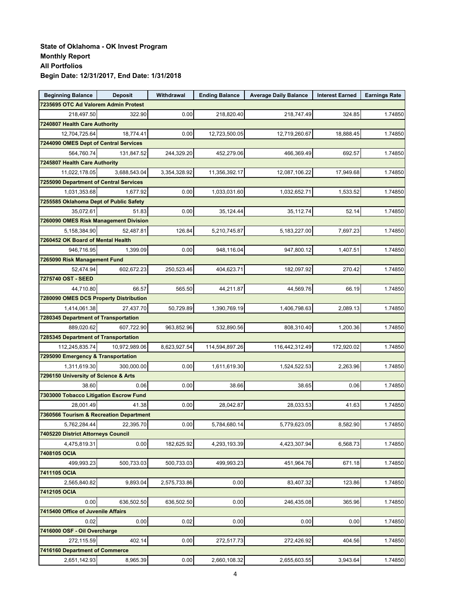| <b>Beginning Balance</b>                | <b>Deposit</b> | Withdrawal   | <b>Ending Balance</b> | <b>Average Daily Balance</b> | <b>Interest Earned</b> | <b>Earnings Rate</b> |
|-----------------------------------------|----------------|--------------|-----------------------|------------------------------|------------------------|----------------------|
| 7235695 OTC Ad Valorem Admin Protest    |                |              |                       |                              |                        |                      |
| 218,497.50                              | 322.90         | 0.00         | 218,820.40            | 218,747.49                   | 324.85                 | 1.74850              |
| 7240807 Health Care Authority           |                |              |                       |                              |                        |                      |
| 12,704,725.64                           | 18,774.41      | 0.00         | 12,723,500.05         | 12,719,260.67                | 18,888.45              | 1.74850              |
| 7244090 OMES Dept of Central Services   |                |              |                       |                              |                        |                      |
| 564,760.74                              | 131,847.52     | 244,329.20   | 452,279.06            | 466,369.49                   | 692.57                 | 1.74850              |
| 7245807 Health Care Authority           |                |              |                       |                              |                        |                      |
| 11,022,178.05                           | 3,688,543.04   | 3,354,328.92 | 11,356,392.17         | 12,087,106.22                | 17,949.68              | 1.74850              |
| 7255090 Department of Central Services  |                |              |                       |                              |                        |                      |
| 1,031,353.68                            | 1,677.92       | 0.00         | 1,033,031.60          | 1,032,652.71                 | 1,533.52               | 1.74850              |
| 7255585 Oklahoma Dept of Public Safety  |                |              |                       |                              |                        |                      |
| 35,072.61                               | 51.83          | 0.00         | 35,124.44             | 35,112.74                    | 52.14                  | 1.74850              |
| 7260090 OMES Risk Management Division   |                |              |                       |                              |                        |                      |
| 5,158,384.90                            | 52,487.81      | 126.84       | 5,210,745.87          | 5,183,227.00                 | 7,697.23               | 1.74850              |
| 7260452 OK Board of Mental Health       |                |              |                       |                              |                        |                      |
| 946,716.95                              | 1,399.09       | 0.00         | 948,116.04            | 947,800.12                   | 1,407.51               | 1.74850              |
| 7265090 Risk Management Fund            |                |              |                       |                              |                        |                      |
| 52,474.94                               | 602,672.23     | 250,523.46   | 404,623.71            | 182,097.92                   | 270.42                 | 1.74850              |
| 7275740 OST - SEED                      |                |              |                       |                              |                        |                      |
| 44,710.80                               | 66.57          | 565.50       | 44,211.87             | 44,569.76                    | 66.19                  | 1.74850              |
| 7280090 OMES DCS Property Distribution  |                |              |                       |                              |                        |                      |
| 1,414,061.38                            | 27,437.70      | 50,729.89    | 1,390,769.19          | 1,406,798.63                 | 2,089.13               | 1.74850              |
| 7280345 Department of Transportation    |                |              |                       |                              |                        |                      |
| 889,020.62                              | 607,722.90     | 963,852.96   | 532,890.56            | 808,310.40                   | 1,200.36               | 1.74850              |
| 7285345 Department of Transportation    |                |              |                       |                              |                        |                      |
| 112,245,835.74                          | 10,972,989.06  | 8,623,927.54 | 114,594,897.26        | 116,442,312.49               | 172,920.02             | 1.74850              |
| 7295090 Emergency & Transportation      |                |              |                       |                              |                        |                      |
| 1,311,619.30                            | 300,000.00     | 0.00         | 1,611,619.30          | 1,524,522.53                 | 2,263.96               | 1.74850              |
| 7296150 University of Science & Arts    |                |              |                       |                              |                        |                      |
| 38.60                                   | 0.06           | 0.00         | 38.66                 | 38.65                        | 0.06                   | 1.74850              |
| 7303000 Tobacco Litigation Escrow Fund  |                |              |                       |                              |                        |                      |
| 28,001.49                               | 41.38          | 0.00         | 28,042.87             | 28,033.53                    | 41.63                  | 1.74850              |
| 7360566 Tourism & Recreation Department |                |              |                       |                              |                        |                      |
| 5,762,284.44                            | 22,395.70      | 0.00         | 5,784,680.14          | 5,779,623.05                 | 8,582.90               | 1.74850              |
| 7405220 District Attorneys Council      |                |              |                       |                              |                        |                      |
| 4,475,819.31                            | 0.00           | 182,625.92   | 4,293,193.39          | 4,423,307.94                 | 6,568.73               | 1.74850              |
| 7408105 OCIA                            |                |              |                       |                              |                        |                      |
| 499,993.23                              | 500,733.03     | 500,733.03   | 499,993.23            | 451,964.76                   | 671.18                 | 1.74850              |
| 7411105 OCIA                            |                |              |                       |                              |                        |                      |
| 2,565,840.82                            | 9,893.04       | 2,575,733.86 | 0.00                  | 83,407.32                    | 123.86                 | 1.74850              |
| 7412105 OCIA                            |                |              |                       |                              |                        |                      |
| 0.00                                    | 636,502.50     | 636,502.50   | 0.00                  | 246,435.08                   | 365.96                 | 1.74850              |
| 7415400 Office of Juvenile Affairs      |                |              |                       |                              |                        |                      |
| 0.02                                    | 0.00           | 0.02         | 0.00                  | 0.00                         | 0.00                   | 1.74850              |
| 7416000 OSF - Oil Overcharge            |                |              |                       |                              |                        |                      |
| 272,115.59                              | 402.14         | 0.00         | 272,517.73            | 272,426.92                   | 404.56                 | 1.74850              |
| 7416160 Department of Commerce          |                |              |                       |                              |                        |                      |
| 2,651,142.93                            | 8,965.39       | $0.00\,$     | 2,660,108.32          | 2,655,603.55                 | 3,943.64               | 1.74850              |
|                                         |                |              |                       |                              |                        |                      |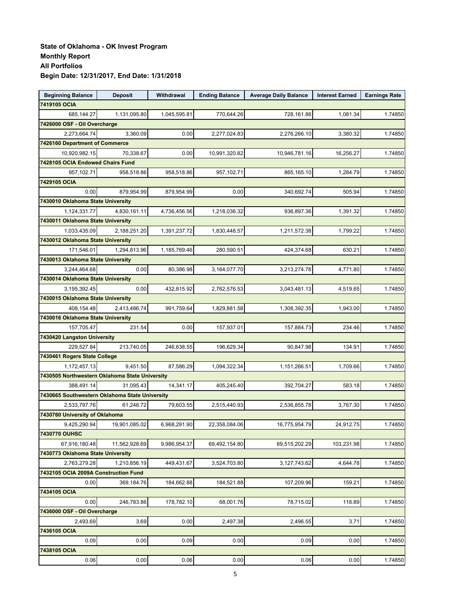| <b>Beginning Balance</b>                       | <b>Deposit</b> | Withdrawal   | <b>Ending Balance</b> | <b>Average Daily Balance</b> | <b>Interest Earned</b> | <b>Earnings Rate</b> |
|------------------------------------------------|----------------|--------------|-----------------------|------------------------------|------------------------|----------------------|
| 7419105 OCIA                                   |                |              |                       |                              |                        |                      |
| 685,144.27                                     | 1,131,095.80   | 1,045,595.81 | 770,644.26            | 728,161.86                   | 1,081.34               | 1.74850              |
| 7426000 OSF - Oil Overcharge                   |                |              |                       |                              |                        |                      |
| 2,273,664.74                                   | 3,360.09       | 0.00         | 2,277,024.83          | 2,276,266.10                 | 3,380.32               | 1.74850              |
| 7426160 Department of Commerce                 |                |              |                       |                              |                        |                      |
| 10,920,982.15                                  | 70,338.67      | 0.00         | 10,991,320.82         | 10,946,781.16                | 16,256.27              | 1.74850              |
| 7428105 OCIA Endowed Chairs Fund               |                |              |                       |                              |                        |                      |
| 957,102.71                                     | 958,518.86     | 958,518.86   | 957,102.71            | 865,165.10                   | 1,284.79               | 1.74850              |
| 7429105 OCIA                                   |                |              |                       |                              |                        |                      |
| 0.00                                           | 879,954.99     | 879,954.99   | 0.00                  | 340,692.74                   | 505.94                 | 1.74850              |
| 7430010 Oklahoma State University              |                |              |                       |                              |                        |                      |
| 1,124,331.77                                   | 4,830,161.11   | 4,736,456.56 | 1,218,036.32          | 936,897.36                   | 1,391.32               | 1.74850              |
| 7430011 Oklahoma State University              |                |              |                       |                              |                        |                      |
| 1,033,435.09                                   | 2,188,251.20   | 1,391,237.72 | 1,830,448.57          | 1,211,572.38                 | 1,799.22               | 1.74850              |
| 7430012 Oklahoma State University              |                |              |                       |                              |                        |                      |
| 171,546.01                                     | 1.294.813.96   | 1,185,769.46 | 280,590.51            | 424,374.68                   | 630.21                 | 1.74850              |
| 7430013 Oklahoma State University              |                |              |                       |                              |                        |                      |
| 3,244,464.68                                   | 0.00           | 80,386.98    | 3,164,077.70          | 3,213,274.78                 | 4,771.80               | 1.74850              |
| 7430014 Oklahoma State University              |                |              |                       |                              |                        |                      |
| 3,195,392.45                                   | 0.00           | 432,815.92   | 2,762,576.53          | 3,043,481.13                 | 4,519.65               | 1.74850              |
| 7430015 Oklahoma State University              |                |              |                       |                              |                        |                      |
| 408,154.48                                     | 2,413,486.74   | 991,759.64   | 1,829,881.58          | 1,308,392.35                 | 1,943.00               | 1.74850              |
| 7430016 Oklahoma State University              |                |              |                       |                              |                        |                      |
| 157,705.47                                     | 231.54         | 0.00         | 157,937.01            | 157,884.73                   | 234.46                 | 1.74850              |
| 7430420 Langston University                    |                |              |                       |                              |                        |                      |
| 229,527.84                                     | 213,740.05     | 246,638.55   | 196,629.34            | 90,847.98                    | 134.91                 | 1.74850              |
| 7430461 Rogers State College                   |                |              |                       |                              |                        |                      |
| 1,172,457.13                                   | 9,451.50       | 87,586.29    | 1,094,322.34          | 1,151,266.51                 | 1,709.66               | 1.74850              |
| 7430505 Northwestern Oklahoma State University |                |              |                       |                              |                        |                      |
| 388,491.14                                     | 31,095.43      | 14,341.17    | 405,245.40            | 392,704.27                   | 583.18                 | 1.74850              |
| 7430665 Southwestern Oklahoma State University |                |              |                       |                              |                        |                      |
| 2,533,797.76                                   | 61,246.72      | 79,603.55    | 2,515,440.93          | 2,536,855.78                 | 3,767.30               | 1.74850              |
| 7430760 University of Oklahoma                 |                |              |                       |                              |                        |                      |
| 9,425,290.94                                   | 19,901,085.02  | 6,968,291.90 | 22,358,084.06         | 16,775,954.79                | 24,912.75              | 1.74850              |
| <b>7430770 OUHSC</b>                           |                |              |                       |                              |                        |                      |
| 67,916,180.48                                  | 11,562,928.69  | 9,986,954.37 | 69,492,154.80         | 69,515,202.29                | 103,231.98             | 1.74850              |
| 7430773 Oklahoma State University              |                |              |                       |                              |                        |                      |
| 2,763,279.28                                   | 1,210,856.19   | 449,431.67   | 3.524.703.80          | 3,127,743.62                 | 4,644.78               | 1.74850              |
| 7432105 OCIA 2009A Construction Fund           |                |              |                       |                              |                        |                      |
| 0.00                                           | 369,184.76     | 184,662.88   | 184,521.88            | 107,209.96                   | 159.21                 | 1.74850              |
| 7434105 OCIA                                   |                |              |                       |                              |                        |                      |
| 0.00                                           | 246,783.86     | 178,782.10   | 68,001.76             | 78,715.02                    | 116.89                 | 1.74850              |
| 7436000 OSF - Oil Overcharge                   |                |              |                       |                              |                        |                      |
| 2,493.69                                       | 3.69           | 0.00         | 2,497.38              | 2,496.55                     | 3.71                   | 1.74850              |
| 7436105 OCIA                                   |                |              |                       |                              |                        |                      |
| 0.09                                           | 0.00           | 0.09         | 0.00                  | 0.09                         | 0.00                   | 1.74850              |
| 7438105 OCIA                                   |                |              |                       |                              |                        |                      |
| 0.06                                           | 0.00           | 0.06         | 0.00                  | 0.06                         | 0.00                   | 1.74850              |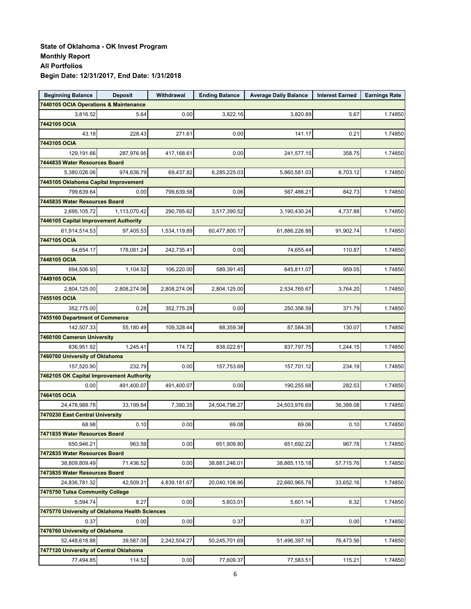| <b>Beginning Balance</b>                       | <b>Deposit</b> | Withdrawal   | <b>Ending Balance</b> | <b>Average Daily Balance</b> | <b>Interest Earned</b> | <b>Earnings Rate</b> |
|------------------------------------------------|----------------|--------------|-----------------------|------------------------------|------------------------|----------------------|
| 7440105 OCIA Operations & Maintenance          |                |              |                       |                              |                        |                      |
| 3,816.52                                       | 5.64           | 0.00         | 3,822.16              | 3,820.89                     | 5.67                   | 1.74850              |
| 7442105 OCIA                                   |                |              |                       |                              |                        |                      |
| 43.18                                          | 228.43         | 271.61       | 0.00                  | 141.17                       | 0.21                   | 1.74850              |
| 7443105 OCIA                                   |                |              |                       |                              |                        |                      |
| 129,191.66                                     | 287,976.95     | 417,168.61   | 0.00                  | 241,577.15                   | 358.75                 | 1.74850              |
| 7444835 Water Resources Board                  |                |              |                       |                              |                        |                      |
| 5,380,026.06                                   | 974,636.79     | 69,437.82    | 6,285,225.03          | 5,860,581.03                 | 8,703.12               | 1.74850              |
| 7445105 Oklahoma Capital Improvement           |                |              |                       |                              |                        |                      |
| 799,639.64                                     | 0.00           | 799,639.58   | 0.06                  | 567,486.21                   | 842.73                 | 1.74850              |
| 7445835 Water Resources Board                  |                |              |                       |                              |                        |                      |
| 2,695,105.72                                   | 1,113,070.42   | 290,785.62   | 3,517,390.52          | 3,190,430.24                 | 4,737.88               | 1.74850              |
| 7446105 Capital Improvement Authority          |                |              |                       |                              |                        |                      |
| 61,914,514.53                                  | 97,405.53      | 1,534,119.89 | 60,477,800.17         | 61,886,226.88                | 91,902.74              | 1.74850              |
| 7447105 OCIA                                   |                |              |                       |                              |                        |                      |
| 64,654.17                                      | 178,081.24     | 242,735.41   | 0.00                  | 74,655.44                    | 110.87                 | 1.74850              |
| 7448105 OCIA                                   |                |              |                       |                              |                        |                      |
| 694.506.93                                     | 1,104.52       | 106,220.00   | 589,391.45            | 645,811.07                   | 959.05                 | 1.74850              |
| 7449105 OCIA                                   |                |              |                       |                              |                        |                      |
| 2,804,125.00                                   | 2,808,274.06   | 2,808,274.06 | 2,804,125.00          | 2,534,765.67                 | 3,764.20               | 1.74850              |
| 7455105 OCIA                                   |                |              |                       |                              |                        |                      |
| 352,775.00                                     | 0.28           | 352,775.28   | 0.00                  | 250,356.59                   | 371.79                 | 1.74850              |
| 7455160 Department of Commerce                 |                |              |                       |                              |                        |                      |
| 142,507.33                                     | 55,180.49      | 109,328.44   | 88,359.38             | 87,584.35                    | 130.07                 | 1.74850              |
| 7460100 Cameron University                     |                |              |                       |                              |                        |                      |
| 836,951.92                                     | 1,245.41       | 174.72       | 838,022.61            | 837,797.75                   | 1,244.15               | 1.74850              |
| 7460760 University of Oklahoma                 |                |              |                       |                              |                        |                      |
| 157,520.90                                     | 232.79         | 0.00         | 157,753.69            | 157,701.12                   | 234.19                 | 1.74850              |
| 7462105 OK Capital Improvement Authority       |                |              |                       |                              |                        |                      |
| 0.00                                           | 491,400.07     | 491,400.07   | 0.00                  | 190,255.68                   | 282.53                 | 1.74850              |
| 7464105 OCIA                                   |                |              |                       |                              |                        |                      |
| 24,478,988.78                                  | 33,199.84      | 7,390.35     | 24,504,798.27         | 24,503,976.69                | 36,389.08              | 1.74850              |
| 7470230 East Central University                |                |              |                       |                              |                        |                      |
| 68.98                                          | 0.10           | 0.00         | 69.08                 | 69.06                        | 0.10                   | 1.74850              |
| 7471835 Water Resources Board                  |                |              |                       |                              |                        |                      |
| 650,946.21                                     | 963.59         | 0.00         | 651,909.80            | 651,692.22                   | 967.78                 | 1.74850              |
| 7472835 Water Resources Board                  |                |              |                       |                              |                        |                      |
| 38,809,809.49                                  | 71,436.52      | 0.00         | 38,881,246.01         | 38,865,115.18                | 57,715.76              | 1.74850              |
| 7473835 Water Resources Board                  |                |              |                       |                              |                        |                      |
| 24,836,781.32                                  | 42,509.31      | 4,839,181.67 | 20,040,108.96         | 22,660,965.78                | 33,652.16              | 1.74850              |
| 7475750 Tulsa Community College                |                |              |                       |                              |                        |                      |
| 5,594.74                                       | 8.27           | 0.00         | 5,603.01              | 5,601.14                     | 8.32                   | 1.74850              |
| 7475770 University of Oklahoma Health Sciences |                |              |                       |                              |                        |                      |
| 0.37                                           | 0.00           | 0.00         | 0.37                  | 0.37                         | 0.00                   | 1.74850              |
| 7476760 University of Oklahoma                 |                |              |                       |                              |                        |                      |
| 52,448,618.88                                  | 39,587.08      | 2,242,504.27 | 50,245,701.69         | 51,496,397.16                | 76,473.56              | 1.74850              |
| 7477120 University of Central Oklahoma         |                |              |                       |                              |                        |                      |
| 77,494.85                                      | 114.52         | 0.00         | 77,609.37             | 77,583.51                    | 115.21                 | 1.74850              |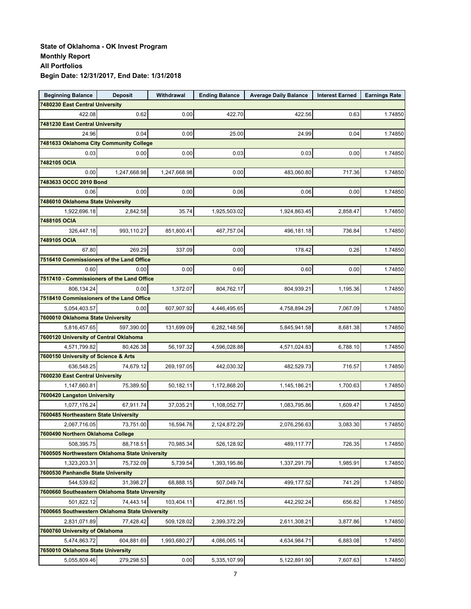| <b>Beginning Balance</b>                       | <b>Deposit</b> | Withdrawal   | <b>Ending Balance</b> | <b>Average Daily Balance</b> | <b>Interest Earned</b> | <b>Earnings Rate</b> |
|------------------------------------------------|----------------|--------------|-----------------------|------------------------------|------------------------|----------------------|
| 7480230 East Central University                |                |              |                       |                              |                        |                      |
| 422.08                                         | 0.62           | 0.00         | 422.70                | 422.56                       | 0.63                   | 1.74850              |
| 7481230 East Central University                |                |              |                       |                              |                        |                      |
| 24.96                                          | 0.04           | 0.00         | 25.00                 | 24.99                        | 0.04                   | 1.74850              |
| 7481633 Oklahoma City Community College        |                |              |                       |                              |                        |                      |
| 0.03                                           | 0.00           | 0.00         | 0.03                  | 0.03                         | 0.00                   | 1.74850              |
| 7482105 OCIA                                   |                |              |                       |                              |                        |                      |
| 0.00                                           | 1,247,668.98   | 1,247,668.98 | 0.00                  | 483,060.80                   | 717.36                 | 1.74850              |
| 7483633 OCCC 2010 Bond                         |                |              |                       |                              |                        |                      |
| 0.06                                           | 0.00           | 0.00         | 0.06                  | 0.06                         | 0.00                   | 1.74850              |
| 7486010 Oklahoma State University              |                |              |                       |                              |                        |                      |
| 1,922,696.18                                   | 2,842.58       | 35.74        | 1,925,503.02          | 1,924,863.45                 | 2,858.47               | 1.74850              |
| 7488105 OCIA                                   |                |              |                       |                              |                        |                      |
| 326,447.18                                     | 993,110.27     | 851,800.41   | 467,757.04            | 496,181.18                   | 736.84                 | 1.74850              |
| 7489105 OCIA                                   |                |              |                       |                              |                        |                      |
| 67.80                                          | 269.29         | 337.09       | 0.00                  | 178.42                       | 0.26                   | 1.74850              |
| 7516410 Commissioners of the Land Office       |                |              |                       |                              |                        |                      |
| 0.60                                           | 0.00           | 0.00         | 0.60                  | 0.60                         | 0.00                   | 1.74850              |
| 7517410 - Commissioners of the Land Office     |                |              |                       |                              |                        |                      |
| 806,134.24                                     | 0.00           | 1,372.07     | 804,762.17            | 804,939.21                   | 1,195.36               | 1.74850              |
| 7518410 Commissioners of the Land Office       |                |              |                       |                              |                        |                      |
| 5,054,403.57                                   | 0.00           | 607,907.92   | 4,446,495.65          | 4,758,894.29                 | 7,067.09               | 1.74850              |
| 7600010 Oklahoma State University              |                |              |                       |                              |                        |                      |
| 5,816,457.65                                   | 597,390.00     | 131,699.09   | 6,282,148.56          | 5,845,941.58                 | 8,681.38               | 1.74850              |
| 7600120 University of Central Oklahoma         |                |              |                       |                              |                        |                      |
| 4,571,799.82                                   | 80,426.38      | 56,197.32    | 4,596,028.88          | 4,571,024.83                 | 6,788.10               | 1.74850              |
| 7600150 University of Science & Arts           |                |              |                       |                              |                        |                      |
| 636,548.25                                     | 74,679.12      | 269,197.05   | 442,030.32            | 482,529.73                   | 716.57                 | 1.74850              |
| 7600230 East Central University                |                |              |                       |                              |                        |                      |
| 1,147,660.81                                   | 75,389.50      | 50,182.11    | 1,172,868.20          | 1,145,186.21                 | 1,700.63               | 1.74850              |
| 7600420 Langston University                    |                |              |                       |                              |                        |                      |
| 1,077,176.24                                   | 67,911.74      | 37,035.21    | 1,108,052.77          | 1,083,795.86                 | 1,609.47               | 1.74850              |
| 7600485 Northeastern State University          |                |              |                       |                              |                        |                      |
| 2,067,716.05                                   | 73,751.00      | 16,594.76    | 2,124,872.29          | 2,076,256.63                 | 3,083.30               | 1.74850              |
| 7600490 Northern Oklahoma College              |                |              |                       |                              |                        |                      |
| 508,395.75                                     | 88,718.51      | 70,985.34    | 526,128.92            | 489,117.77                   | 726.35                 | 1.74850              |
| 7600505 Northwestern Oklahoma State University |                |              |                       |                              |                        |                      |
| 1,323,203.31                                   | 75,732.09      | 5,739.54     | 1,393,195.86          | 1,337,291.79                 | 1.985.91               | 1.74850              |
| 7600530 Panhandle State University             |                |              |                       |                              |                        |                      |
| 544,539.62                                     | 31,398.27      | 68,888.15    | 507,049.74            | 499,177.52                   | 741.29                 | 1.74850              |
| 7600660 Southeastern Oklahoma State Unversity  |                |              |                       |                              |                        |                      |
| 501,822.12                                     | 74,443.14      | 103,404.11   | 472,861.15            | 442,292.24                   | 656.82                 | 1.74850              |
| 7600665 Southwestern Oklahoma State University |                |              |                       |                              |                        |                      |
| 2,831,071.89                                   | 77,428.42      | 509,128.02   | 2,399,372.29          | 2,611,308.21                 | 3,877.86               | 1.74850              |
| 7600760 University of Oklahoma                 |                |              |                       |                              |                        |                      |
| 5,474,863.72                                   | 604,881.69     | 1,993,680.27 | 4,086,065.14          | 4,634,984.71                 | 6,883.08               | 1.74850              |
| 7650010 Oklahoma State University              |                |              |                       |                              |                        |                      |
| 5,055,809.46                                   | 279,298.53     | 0.00         | 5,335,107.99          | 5,122,891.90                 | 7,607.63               | 1.74850              |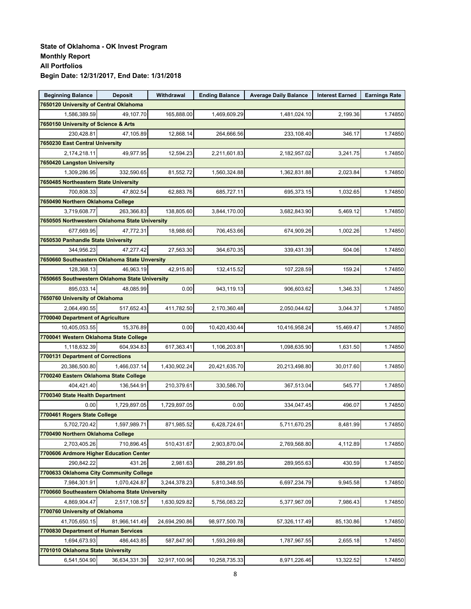| <b>Beginning Balance</b>                                | <b>Deposit</b> | Withdrawal    | <b>Ending Balance</b> | <b>Average Daily Balance</b> | <b>Interest Earned</b> | <b>Earnings Rate</b> |
|---------------------------------------------------------|----------------|---------------|-----------------------|------------------------------|------------------------|----------------------|
| 7650120 University of Central Oklahoma                  |                |               |                       |                              |                        |                      |
| 1,586,389.59                                            | 49,107.70      | 165,888.00    | 1,469,609.29          | 1,481,024.10                 | 2,199.36               | 1.74850              |
| 7650150 University of Science & Arts                    |                |               |                       |                              |                        |                      |
| 230,428.81                                              | 47,105.89      | 12,868.14     | 264,666.56            | 233,108.40                   | 346.17                 | 1.74850              |
| 7650230 East Central University                         |                |               |                       |                              |                        |                      |
| 2,174,218.11                                            | 49,977.95      | 12,594.23     | 2,211,601.83          | 2,182,957.02                 | 3,241.75               | 1.74850              |
| 7650420 Langston University                             |                |               |                       |                              |                        |                      |
| 1,309,286.95                                            | 332,590.65     | 81,552.72     | 1,560,324.88          | 1,362,831.88                 | 2,023.84               | 1.74850              |
| 7650485 Northeastern State University                   |                |               |                       |                              |                        |                      |
| 700,808.33                                              | 47,802.54      | 62,883.76     | 685,727.11            | 695,373.15                   | 1,032.65               | 1.74850              |
| 7650490 Northern Oklahoma College                       |                |               |                       |                              |                        |                      |
| 3,719,608.77                                            | 263,366.83     | 138,805.60    | 3,844,170.00          | 3,682,843.90                 | 5,469.12               | 1.74850              |
| 7650505 Northwestern Oklahoma State University          |                |               |                       |                              |                        |                      |
| 677,669.95                                              | 47,772.31      | 18,988.60     | 706,453.66            | 674,909.26                   | 1,002.26               | 1.74850              |
| 7650530 Panhandle State University                      |                |               |                       |                              |                        |                      |
| 344,956.23                                              | 47,277.42      | 27,563.30     | 364,670.35            | 339,431.39                   | 504.06                 | 1.74850              |
| 7650660 Southeastern Oklahoma State Unversity           |                |               |                       |                              |                        |                      |
| 128,368.13                                              | 46,963.19      | 42,915.80     | 132,415.52            | 107,228.59                   | 159.24                 | 1.74850              |
| 7650665 Southwestern Oklahoma State University          |                |               |                       |                              |                        |                      |
| 895,033.14                                              | 48,085.99      | 0.00          | 943,119.13            | 906,603.62                   | 1,346.33               | 1.74850              |
| 7650760 University of Oklahoma                          |                |               |                       |                              |                        |                      |
| 2,064,490.55                                            | 517,652.43     | 411,782.50    | 2,170,360.48          | 2,050,044.62                 | 3,044.37               | 1.74850              |
| 7700040 Department of Agriculture                       |                |               |                       |                              |                        |                      |
| 10,405,053.55                                           | 15,376.89      | 0.00          | 10,420,430.44         | 10,416,958.24                | 15,469.47              | 1.74850              |
| 7700041 Western Oklahoma State College                  |                |               |                       |                              |                        |                      |
| 1,118,632.39                                            | 604,934.83     | 617,363.41    | 1,106,203.81          | 1,098,635.90                 | 1,631.50               | 1.74850              |
| 7700131 Department of Corrections                       |                |               |                       |                              |                        |                      |
| 20,386,500.80                                           | 1,466,037.14   | 1,430,902.24  | 20,421,635.70         | 20,213,498.80                | 30,017.60              | 1.74850              |
| 7700240 Eastern Oklahoma State College                  |                |               |                       |                              |                        |                      |
| 404,421.40                                              | 136,544.91     | 210,379.61    | 330,586.70            | 367,513.04                   | 545.77                 | 1.74850              |
| 7700340 State Health Department                         |                |               |                       |                              |                        |                      |
| 0.00                                                    | 1,729,897.05   | 1,729,897.05  | 0.00                  | 334,047.45                   | 496.07                 | 1.74850              |
| 7700461 Rogers State College                            |                |               |                       |                              |                        |                      |
| 5,702,720.42                                            | 1,597,989.71   | 871,985.52    | 6,428,724.61          | 5,711,670.25                 | 8,481.99               | 1.74850              |
| 7700490 Northern Oklahoma College                       |                |               |                       |                              |                        |                      |
|                                                         |                | 510,431.67    | 2,903,870.04          | 2,769,568.80                 |                        | 1.74850              |
| 2,703,405.26<br>7700606 Ardmore Higher Education Center | 710,896.45     |               |                       |                              | 4,112.89               |                      |
| 290,842.22                                              | 431.26         | 2,981.63      | 288,291.85            | 289,955.63                   | 430.59                 |                      |
| 7700633 Oklahoma City Community College                 |                |               |                       |                              |                        | 1.74850              |
|                                                         |                |               |                       |                              |                        |                      |
| 7,984,301.91                                            | 1,070,424.87   | 3,244,378.23  | 5,810,348.55          | 6,697,234.79                 | 9,945.58               | 1.74850              |
| 7700660 Southeastern Oklahoma State University          |                |               |                       |                              |                        |                      |
| 4,869,904.47                                            | 2,517,108.57   | 1,630,929.82  | 5,756,083.22          | 5,377,967.09                 | 7,986.43               | 1.74850              |
| 7700760 University of Oklahoma                          |                |               |                       |                              |                        |                      |
| 41,705,650.15                                           | 81,966,141.49  | 24,694,290.86 | 98,977,500.78         | 57,326,117.49                | 85,130.86              | 1.74850              |
| 7700830 Department of Human Services                    |                |               |                       |                              |                        |                      |
| 1,694,673.93                                            | 486,443.85     | 587,847.90    | 1,593,269.88          | 1,787,967.55                 | 2,655.18               | 1.74850              |
| 7701010 Oklahoma State University                       |                |               |                       |                              |                        |                      |
| 6,541,504.90                                            | 36,634,331.39  | 32,917,100.96 | 10,258,735.33         | 8,971,226.46                 | 13,322.52              | 1.74850              |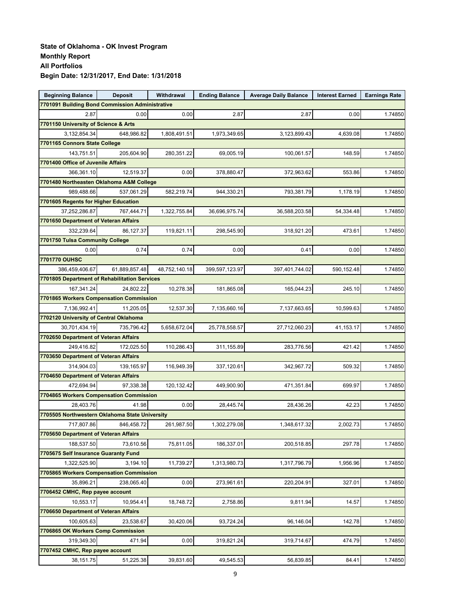| <b>Beginning Balance</b>                        | <b>Deposit</b> | Withdrawal    | <b>Ending Balance</b> | <b>Average Daily Balance</b> | <b>Interest Earned</b> | <b>Earnings Rate</b> |
|-------------------------------------------------|----------------|---------------|-----------------------|------------------------------|------------------------|----------------------|
| 7701091 Building Bond Commission Administrative |                |               |                       |                              |                        |                      |
| 2.87                                            | 0.00           | 0.00          | 2.87                  | 2.87                         | 0.00                   | 1.74850              |
| 7701150 University of Science & Arts            |                |               |                       |                              |                        |                      |
| 3,132,854.34                                    | 648,986.82     | 1,808,491.51  | 1,973,349.65          | 3,123,899.43                 | 4,639.08               | 1.74850              |
| 7701165 Connors State College                   |                |               |                       |                              |                        |                      |
| 143,751.51                                      | 205,604.90     | 280,351.22    | 69,005.19             | 100,061.57                   | 148.59                 | 1.74850              |
| 7701400 Office of Juvenile Affairs              |                |               |                       |                              |                        |                      |
| 366.361.10                                      | 12,519.37      | 0.00          | 378,880.47            | 372,963.62                   | 553.86                 | 1.74850              |
| 7701480 Northeasten Oklahoma A&M College        |                |               |                       |                              |                        |                      |
| 989,488.66                                      | 537,061.29     | 582,219.74    | 944,330.21            | 793,381.79                   | 1,178.19               | 1.74850              |
| 7701605 Regents for Higher Education            |                |               |                       |                              |                        |                      |
| 37,252,286.87                                   | 767,444.71     | 1,322,755.84  | 36,696,975.74         | 36,588,203.58                | 54,334.48              | 1.74850              |
| 7701650 Department of Veteran Affairs           |                |               |                       |                              |                        |                      |
| 332,239.64                                      | 86,127.37      | 119,821.11    | 298,545.90            | 318,921.20                   | 473.61                 | 1.74850              |
| 7701750 Tulsa Community College                 |                |               |                       |                              |                        |                      |
| 0.00                                            | 0.74           | 0.74          | 0.00                  | 0.41                         | 0.00                   | 1.74850              |
| 7701770 OUHSC                                   |                |               |                       |                              |                        |                      |
| 386,459,406.67                                  | 61,889,857.48  | 48,752,140.18 | 399,597,123.97        | 397,401,744.02               | 590,152.48             | 1.74850              |
| 7701805 Department of Rehabilitation Services   |                |               |                       |                              |                        |                      |
| 167,341.24                                      | 24,802.22      | 10,278.38     | 181,865.08            | 165,044.23                   | 245.10                 | 1.74850              |
| 7701865 Workers Compensation Commission         |                |               |                       |                              |                        |                      |
| 7,136,992.41                                    | 11,205.05      | 12,537.30     | 7,135,660.16          | 7,137,663.65                 | 10,599.63              | 1.74850              |
| 7702120 University of Central Oklahoma          |                |               |                       |                              |                        |                      |
| 30,701,434.19                                   | 735,796.42     | 5,658,672.04  | 25,778,558.57         | 27,712,060.23                | 41,153.17              | 1.74850              |
| 7702650 Department of Veteran Affairs           |                |               |                       |                              |                        |                      |
| 249,416.82                                      | 172,025.50     | 110,286.43    | 311,155.89            | 283,776.56                   | 421.42                 | 1.74850              |
| 7703650 Department of Veteran Affairs           |                |               |                       |                              |                        |                      |
| 314,904.03                                      | 139,165.97     | 116,949.39    | 337,120.61            | 342,967.72                   | 509.32                 | 1.74850              |
| 7704650 Department of Veteran Affairs           |                |               |                       |                              |                        |                      |
| 472,694.94                                      | 97,338.38      | 120,132.42    | 449,900.90            | 471,351.84                   | 699.97                 | 1.74850              |
| 7704865 Workers Compensation Commission         |                |               |                       |                              |                        |                      |
| 28,403.76                                       | 41.98          | 0.00          | 28,445.74             | 28,436.26                    | 42.23                  | 1.74850              |
| 7705505 Northwestern Oklahoma State University  |                |               |                       |                              |                        |                      |
| 717,807.86                                      | 846,458.72     | 261,987.50    | 1,302,279.08          | 1,348,617.32                 | 2,002.73               | 1.74850              |
| 7705650 Department of Veteran Affairs           |                |               |                       |                              |                        |                      |
| 188,537.50                                      | 73,610.56      | 75,811.05     | 186,337.01            | 200,518.85                   | 297.78                 | 1.74850              |
| 7705675 Self Insurance Guaranty Fund            |                |               |                       |                              |                        |                      |
| 1,322,525.90                                    | 3,194.10       | 11,739.27     | 1,313,980.73          | 1,317,796.79                 | 1,956.96               | 1.74850              |
| 7705865 Workers Compensation Commission         |                |               |                       |                              |                        |                      |
| 35,896.21                                       | 238,065.40     | 0.00          | 273,961.61            | 220,204.91                   | 327.01                 | 1.74850              |
| 7706452 CMHC, Rep payee account                 |                |               |                       |                              |                        |                      |
| 10,553.17                                       | 10,954.41      | 18,748.72     | 2,758.86              | 9,811.94                     | 14.57                  | 1.74850              |
| 7706650 Department of Veteran Affairs           |                |               |                       |                              |                        |                      |
| 100,605.63                                      | 23,538.67      | 30,420.06     | 93,724.24             | 96,146.04                    | 142.78                 | 1.74850              |
| 7706865 OK Workers Comp Commission              |                |               |                       |                              |                        |                      |
| 319,349.30                                      | 471.94         | 0.00          | 319,821.24            | 319,714.67                   | 474.79                 | 1.74850              |
| 7707452 CMHC, Rep payee account                 |                |               |                       |                              |                        |                      |
| 38,151.75                                       | 51,225.38      | 39,831.60     | 49,545.53             | 56,839.85                    | 84.41                  | 1.74850              |
|                                                 |                |               |                       |                              |                        |                      |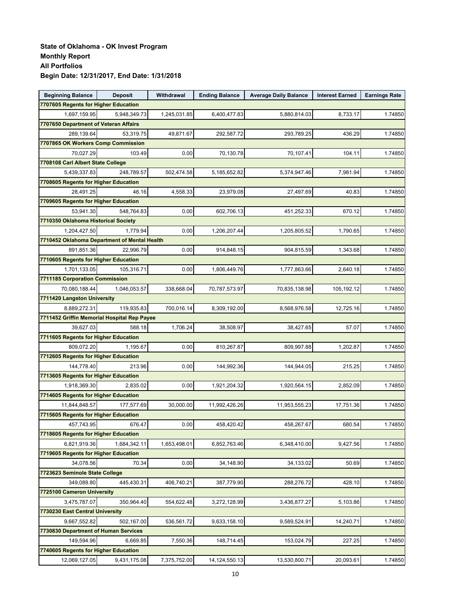| 7707605 Regents for Higher Education<br>1,245,031.85<br>1,697,159.95<br>5,948,349.73<br>6,400,477.83<br>5,880,814.03<br>8,733.17<br>1.74850<br>7707650 Department of Veteran Affairs<br>289,139.64<br>49,871.67<br>293,789.25<br>436.29<br>53,319.75<br>292,587.72<br>1.74850<br>7707865 OK Workers Comp Commission<br>70,027.29<br>0.00<br>70,107.41<br>103.49<br>70,130.78<br>104.11<br>1.74850<br>7708108 Carl Albert State College<br>502,474.58<br>5,439,337.83<br>248.789.57<br>5,374,947.46<br>7,981.94<br>1.74850<br>5,185,652.82<br>7708605 Regents for Higher Education<br>28.491.25<br>46.16<br>4,558.33<br>23,979.08<br>27,497.69<br>40.83<br>1.74850<br>7709605 Regents for Higher Education<br>0.00<br>53,941.30<br>548,764.83<br>602,706.13<br>451,252.33<br>670.12<br>1.74850<br>7710350 Oklahoma Historical Society<br>1,204,427.50<br>0.00<br>1,790.65<br>1.74850<br>1,779.94<br>1,206,207.44<br>1,205,805.52<br>7710452 Oklahoma Department of Mental Health<br>0.00<br>891,851.36<br>22,996.79<br>914,848.15<br>904,815.59<br>1,343.68<br>1.74850<br>7710605 Regents for Higher Education<br>0.00<br>1,701,133.05<br>1,806,449.76<br>1,777,863.66<br>2,640.18<br>1.74850<br>105.316.71<br>7711185 Corporation Commission<br>70,080,188.44<br>338,668.04<br>70,787,573.97<br>70,835,138.98<br>105,192.12<br>1.74850<br>1,046,053.57<br>7711420 Langston University<br>8,889,272.31<br>119.935.83<br>700,016.14<br>8,309,192.00<br>8,568,976.58<br>12,725.16<br>1.74850<br>7711452 Griffin Memorial Hospital Rep Payee<br>39,627.03<br>588.18<br>1,706.24<br>38,427.65<br>57.07<br>1.74850<br>38,508.97<br>7711605 Regents for Higher Education<br>0.00<br>809,072.20<br>1,195.67<br>810,267.87<br>809,997.88<br>1,202.87<br>1.74850<br>7712605 Regents for Higher Education<br>0.00<br>144,778.40<br>213.96<br>144,992.36<br>144,944.05<br>215.25<br>1.74850<br>7713605 Regents for Higher Education<br>0.00<br>1,921,204.32<br>2,852.09<br>1.74850<br>1,918,369.30<br>2,835.02<br>1,920,564.15<br>7714605 Regents for Higher Education<br>11,844,848.57<br>177,577.69<br>30,000.00<br>11,992,426.26<br>11,953,555.23<br>17,751.36<br>1.74850<br>7715605 Regents for Higher Education<br>0.00<br>680.54<br>1.74850<br>457,743.95<br>676.47<br>458,420.42<br>458,267.67<br>7718605 Regents for Higher Education<br>1,653,498.01<br>6,852,763.46<br>6,348,410.00<br>9,427.56<br>1.74850<br>6,821,919.36<br>1,684,342.11<br>7719605 Regents for Higher Education<br>0.00<br>34.078.56<br>70.34<br>34,148.90<br>34,133.02<br>50.69<br>1.74850<br>7723623 Seminole State College<br>349,089.80<br>406,740.21<br>288,276.72<br>428.10<br>1.74850<br>445,430.31<br>387,779.90<br>7725100 Cameron University<br>350,964.40<br>554,622.48<br>3,475,787.07<br>3,272,128.99<br>3,436,877.27<br>5,103.86<br>1.74850<br>7730230 East Central University<br>9,667,552.82<br>502,167.00<br>536,561.72<br>14,240.71<br>9,633,158.10<br>9,589,524.91<br>1.74850<br>7730830 Department of Human Services<br>227.25<br>149,594.96<br>7,550.36<br>6,669.85<br>148,714.45<br>153,024.79<br>1.74850<br>7740605 Regents for Higher Education | <b>Beginning Balance</b> | <b>Deposit</b> | Withdrawal   | <b>Ending Balance</b> | <b>Average Daily Balance</b> | <b>Interest Earned</b> | <b>Earnings Rate</b> |
|------------------------------------------------------------------------------------------------------------------------------------------------------------------------------------------------------------------------------------------------------------------------------------------------------------------------------------------------------------------------------------------------------------------------------------------------------------------------------------------------------------------------------------------------------------------------------------------------------------------------------------------------------------------------------------------------------------------------------------------------------------------------------------------------------------------------------------------------------------------------------------------------------------------------------------------------------------------------------------------------------------------------------------------------------------------------------------------------------------------------------------------------------------------------------------------------------------------------------------------------------------------------------------------------------------------------------------------------------------------------------------------------------------------------------------------------------------------------------------------------------------------------------------------------------------------------------------------------------------------------------------------------------------------------------------------------------------------------------------------------------------------------------------------------------------------------------------------------------------------------------------------------------------------------------------------------------------------------------------------------------------------------------------------------------------------------------------------------------------------------------------------------------------------------------------------------------------------------------------------------------------------------------------------------------------------------------------------------------------------------------------------------------------------------------------------------------------------------------------------------------------------------------------------------------------------------------------------------------------------------------------------------------------------------------------------------------------------------------------------------------------------------------------------------------------------------------------------------------------------------------------------------------------------------------------------------------------------------------------------------------------------------------------------------------------------------------------------------------------------------------------------|--------------------------|----------------|--------------|-----------------------|------------------------------|------------------------|----------------------|
|                                                                                                                                                                                                                                                                                                                                                                                                                                                                                                                                                                                                                                                                                                                                                                                                                                                                                                                                                                                                                                                                                                                                                                                                                                                                                                                                                                                                                                                                                                                                                                                                                                                                                                                                                                                                                                                                                                                                                                                                                                                                                                                                                                                                                                                                                                                                                                                                                                                                                                                                                                                                                                                                                                                                                                                                                                                                                                                                                                                                                                                                                                                                          |                          |                |              |                       |                              |                        |                      |
|                                                                                                                                                                                                                                                                                                                                                                                                                                                                                                                                                                                                                                                                                                                                                                                                                                                                                                                                                                                                                                                                                                                                                                                                                                                                                                                                                                                                                                                                                                                                                                                                                                                                                                                                                                                                                                                                                                                                                                                                                                                                                                                                                                                                                                                                                                                                                                                                                                                                                                                                                                                                                                                                                                                                                                                                                                                                                                                                                                                                                                                                                                                                          |                          |                |              |                       |                              |                        |                      |
|                                                                                                                                                                                                                                                                                                                                                                                                                                                                                                                                                                                                                                                                                                                                                                                                                                                                                                                                                                                                                                                                                                                                                                                                                                                                                                                                                                                                                                                                                                                                                                                                                                                                                                                                                                                                                                                                                                                                                                                                                                                                                                                                                                                                                                                                                                                                                                                                                                                                                                                                                                                                                                                                                                                                                                                                                                                                                                                                                                                                                                                                                                                                          |                          |                |              |                       |                              |                        |                      |
|                                                                                                                                                                                                                                                                                                                                                                                                                                                                                                                                                                                                                                                                                                                                                                                                                                                                                                                                                                                                                                                                                                                                                                                                                                                                                                                                                                                                                                                                                                                                                                                                                                                                                                                                                                                                                                                                                                                                                                                                                                                                                                                                                                                                                                                                                                                                                                                                                                                                                                                                                                                                                                                                                                                                                                                                                                                                                                                                                                                                                                                                                                                                          |                          |                |              |                       |                              |                        |                      |
|                                                                                                                                                                                                                                                                                                                                                                                                                                                                                                                                                                                                                                                                                                                                                                                                                                                                                                                                                                                                                                                                                                                                                                                                                                                                                                                                                                                                                                                                                                                                                                                                                                                                                                                                                                                                                                                                                                                                                                                                                                                                                                                                                                                                                                                                                                                                                                                                                                                                                                                                                                                                                                                                                                                                                                                                                                                                                                                                                                                                                                                                                                                                          |                          |                |              |                       |                              |                        |                      |
|                                                                                                                                                                                                                                                                                                                                                                                                                                                                                                                                                                                                                                                                                                                                                                                                                                                                                                                                                                                                                                                                                                                                                                                                                                                                                                                                                                                                                                                                                                                                                                                                                                                                                                                                                                                                                                                                                                                                                                                                                                                                                                                                                                                                                                                                                                                                                                                                                                                                                                                                                                                                                                                                                                                                                                                                                                                                                                                                                                                                                                                                                                                                          |                          |                |              |                       |                              |                        |                      |
|                                                                                                                                                                                                                                                                                                                                                                                                                                                                                                                                                                                                                                                                                                                                                                                                                                                                                                                                                                                                                                                                                                                                                                                                                                                                                                                                                                                                                                                                                                                                                                                                                                                                                                                                                                                                                                                                                                                                                                                                                                                                                                                                                                                                                                                                                                                                                                                                                                                                                                                                                                                                                                                                                                                                                                                                                                                                                                                                                                                                                                                                                                                                          |                          |                |              |                       |                              |                        |                      |
|                                                                                                                                                                                                                                                                                                                                                                                                                                                                                                                                                                                                                                                                                                                                                                                                                                                                                                                                                                                                                                                                                                                                                                                                                                                                                                                                                                                                                                                                                                                                                                                                                                                                                                                                                                                                                                                                                                                                                                                                                                                                                                                                                                                                                                                                                                                                                                                                                                                                                                                                                                                                                                                                                                                                                                                                                                                                                                                                                                                                                                                                                                                                          |                          |                |              |                       |                              |                        |                      |
|                                                                                                                                                                                                                                                                                                                                                                                                                                                                                                                                                                                                                                                                                                                                                                                                                                                                                                                                                                                                                                                                                                                                                                                                                                                                                                                                                                                                                                                                                                                                                                                                                                                                                                                                                                                                                                                                                                                                                                                                                                                                                                                                                                                                                                                                                                                                                                                                                                                                                                                                                                                                                                                                                                                                                                                                                                                                                                                                                                                                                                                                                                                                          |                          |                |              |                       |                              |                        |                      |
|                                                                                                                                                                                                                                                                                                                                                                                                                                                                                                                                                                                                                                                                                                                                                                                                                                                                                                                                                                                                                                                                                                                                                                                                                                                                                                                                                                                                                                                                                                                                                                                                                                                                                                                                                                                                                                                                                                                                                                                                                                                                                                                                                                                                                                                                                                                                                                                                                                                                                                                                                                                                                                                                                                                                                                                                                                                                                                                                                                                                                                                                                                                                          |                          |                |              |                       |                              |                        |                      |
|                                                                                                                                                                                                                                                                                                                                                                                                                                                                                                                                                                                                                                                                                                                                                                                                                                                                                                                                                                                                                                                                                                                                                                                                                                                                                                                                                                                                                                                                                                                                                                                                                                                                                                                                                                                                                                                                                                                                                                                                                                                                                                                                                                                                                                                                                                                                                                                                                                                                                                                                                                                                                                                                                                                                                                                                                                                                                                                                                                                                                                                                                                                                          |                          |                |              |                       |                              |                        |                      |
|                                                                                                                                                                                                                                                                                                                                                                                                                                                                                                                                                                                                                                                                                                                                                                                                                                                                                                                                                                                                                                                                                                                                                                                                                                                                                                                                                                                                                                                                                                                                                                                                                                                                                                                                                                                                                                                                                                                                                                                                                                                                                                                                                                                                                                                                                                                                                                                                                                                                                                                                                                                                                                                                                                                                                                                                                                                                                                                                                                                                                                                                                                                                          |                          |                |              |                       |                              |                        |                      |
|                                                                                                                                                                                                                                                                                                                                                                                                                                                                                                                                                                                                                                                                                                                                                                                                                                                                                                                                                                                                                                                                                                                                                                                                                                                                                                                                                                                                                                                                                                                                                                                                                                                                                                                                                                                                                                                                                                                                                                                                                                                                                                                                                                                                                                                                                                                                                                                                                                                                                                                                                                                                                                                                                                                                                                                                                                                                                                                                                                                                                                                                                                                                          |                          |                |              |                       |                              |                        |                      |
|                                                                                                                                                                                                                                                                                                                                                                                                                                                                                                                                                                                                                                                                                                                                                                                                                                                                                                                                                                                                                                                                                                                                                                                                                                                                                                                                                                                                                                                                                                                                                                                                                                                                                                                                                                                                                                                                                                                                                                                                                                                                                                                                                                                                                                                                                                                                                                                                                                                                                                                                                                                                                                                                                                                                                                                                                                                                                                                                                                                                                                                                                                                                          |                          |                |              |                       |                              |                        |                      |
|                                                                                                                                                                                                                                                                                                                                                                                                                                                                                                                                                                                                                                                                                                                                                                                                                                                                                                                                                                                                                                                                                                                                                                                                                                                                                                                                                                                                                                                                                                                                                                                                                                                                                                                                                                                                                                                                                                                                                                                                                                                                                                                                                                                                                                                                                                                                                                                                                                                                                                                                                                                                                                                                                                                                                                                                                                                                                                                                                                                                                                                                                                                                          |                          |                |              |                       |                              |                        |                      |
|                                                                                                                                                                                                                                                                                                                                                                                                                                                                                                                                                                                                                                                                                                                                                                                                                                                                                                                                                                                                                                                                                                                                                                                                                                                                                                                                                                                                                                                                                                                                                                                                                                                                                                                                                                                                                                                                                                                                                                                                                                                                                                                                                                                                                                                                                                                                                                                                                                                                                                                                                                                                                                                                                                                                                                                                                                                                                                                                                                                                                                                                                                                                          |                          |                |              |                       |                              |                        |                      |
|                                                                                                                                                                                                                                                                                                                                                                                                                                                                                                                                                                                                                                                                                                                                                                                                                                                                                                                                                                                                                                                                                                                                                                                                                                                                                                                                                                                                                                                                                                                                                                                                                                                                                                                                                                                                                                                                                                                                                                                                                                                                                                                                                                                                                                                                                                                                                                                                                                                                                                                                                                                                                                                                                                                                                                                                                                                                                                                                                                                                                                                                                                                                          |                          |                |              |                       |                              |                        |                      |
|                                                                                                                                                                                                                                                                                                                                                                                                                                                                                                                                                                                                                                                                                                                                                                                                                                                                                                                                                                                                                                                                                                                                                                                                                                                                                                                                                                                                                                                                                                                                                                                                                                                                                                                                                                                                                                                                                                                                                                                                                                                                                                                                                                                                                                                                                                                                                                                                                                                                                                                                                                                                                                                                                                                                                                                                                                                                                                                                                                                                                                                                                                                                          |                          |                |              |                       |                              |                        |                      |
|                                                                                                                                                                                                                                                                                                                                                                                                                                                                                                                                                                                                                                                                                                                                                                                                                                                                                                                                                                                                                                                                                                                                                                                                                                                                                                                                                                                                                                                                                                                                                                                                                                                                                                                                                                                                                                                                                                                                                                                                                                                                                                                                                                                                                                                                                                                                                                                                                                                                                                                                                                                                                                                                                                                                                                                                                                                                                                                                                                                                                                                                                                                                          |                          |                |              |                       |                              |                        |                      |
|                                                                                                                                                                                                                                                                                                                                                                                                                                                                                                                                                                                                                                                                                                                                                                                                                                                                                                                                                                                                                                                                                                                                                                                                                                                                                                                                                                                                                                                                                                                                                                                                                                                                                                                                                                                                                                                                                                                                                                                                                                                                                                                                                                                                                                                                                                                                                                                                                                                                                                                                                                                                                                                                                                                                                                                                                                                                                                                                                                                                                                                                                                                                          |                          |                |              |                       |                              |                        |                      |
|                                                                                                                                                                                                                                                                                                                                                                                                                                                                                                                                                                                                                                                                                                                                                                                                                                                                                                                                                                                                                                                                                                                                                                                                                                                                                                                                                                                                                                                                                                                                                                                                                                                                                                                                                                                                                                                                                                                                                                                                                                                                                                                                                                                                                                                                                                                                                                                                                                                                                                                                                                                                                                                                                                                                                                                                                                                                                                                                                                                                                                                                                                                                          |                          |                |              |                       |                              |                        |                      |
|                                                                                                                                                                                                                                                                                                                                                                                                                                                                                                                                                                                                                                                                                                                                                                                                                                                                                                                                                                                                                                                                                                                                                                                                                                                                                                                                                                                                                                                                                                                                                                                                                                                                                                                                                                                                                                                                                                                                                                                                                                                                                                                                                                                                                                                                                                                                                                                                                                                                                                                                                                                                                                                                                                                                                                                                                                                                                                                                                                                                                                                                                                                                          |                          |                |              |                       |                              |                        |                      |
|                                                                                                                                                                                                                                                                                                                                                                                                                                                                                                                                                                                                                                                                                                                                                                                                                                                                                                                                                                                                                                                                                                                                                                                                                                                                                                                                                                                                                                                                                                                                                                                                                                                                                                                                                                                                                                                                                                                                                                                                                                                                                                                                                                                                                                                                                                                                                                                                                                                                                                                                                                                                                                                                                                                                                                                                                                                                                                                                                                                                                                                                                                                                          |                          |                |              |                       |                              |                        |                      |
|                                                                                                                                                                                                                                                                                                                                                                                                                                                                                                                                                                                                                                                                                                                                                                                                                                                                                                                                                                                                                                                                                                                                                                                                                                                                                                                                                                                                                                                                                                                                                                                                                                                                                                                                                                                                                                                                                                                                                                                                                                                                                                                                                                                                                                                                                                                                                                                                                                                                                                                                                                                                                                                                                                                                                                                                                                                                                                                                                                                                                                                                                                                                          |                          |                |              |                       |                              |                        |                      |
|                                                                                                                                                                                                                                                                                                                                                                                                                                                                                                                                                                                                                                                                                                                                                                                                                                                                                                                                                                                                                                                                                                                                                                                                                                                                                                                                                                                                                                                                                                                                                                                                                                                                                                                                                                                                                                                                                                                                                                                                                                                                                                                                                                                                                                                                                                                                                                                                                                                                                                                                                                                                                                                                                                                                                                                                                                                                                                                                                                                                                                                                                                                                          |                          |                |              |                       |                              |                        |                      |
|                                                                                                                                                                                                                                                                                                                                                                                                                                                                                                                                                                                                                                                                                                                                                                                                                                                                                                                                                                                                                                                                                                                                                                                                                                                                                                                                                                                                                                                                                                                                                                                                                                                                                                                                                                                                                                                                                                                                                                                                                                                                                                                                                                                                                                                                                                                                                                                                                                                                                                                                                                                                                                                                                                                                                                                                                                                                                                                                                                                                                                                                                                                                          |                          |                |              |                       |                              |                        |                      |
|                                                                                                                                                                                                                                                                                                                                                                                                                                                                                                                                                                                                                                                                                                                                                                                                                                                                                                                                                                                                                                                                                                                                                                                                                                                                                                                                                                                                                                                                                                                                                                                                                                                                                                                                                                                                                                                                                                                                                                                                                                                                                                                                                                                                                                                                                                                                                                                                                                                                                                                                                                                                                                                                                                                                                                                                                                                                                                                                                                                                                                                                                                                                          |                          |                |              |                       |                              |                        |                      |
|                                                                                                                                                                                                                                                                                                                                                                                                                                                                                                                                                                                                                                                                                                                                                                                                                                                                                                                                                                                                                                                                                                                                                                                                                                                                                                                                                                                                                                                                                                                                                                                                                                                                                                                                                                                                                                                                                                                                                                                                                                                                                                                                                                                                                                                                                                                                                                                                                                                                                                                                                                                                                                                                                                                                                                                                                                                                                                                                                                                                                                                                                                                                          |                          |                |              |                       |                              |                        |                      |
|                                                                                                                                                                                                                                                                                                                                                                                                                                                                                                                                                                                                                                                                                                                                                                                                                                                                                                                                                                                                                                                                                                                                                                                                                                                                                                                                                                                                                                                                                                                                                                                                                                                                                                                                                                                                                                                                                                                                                                                                                                                                                                                                                                                                                                                                                                                                                                                                                                                                                                                                                                                                                                                                                                                                                                                                                                                                                                                                                                                                                                                                                                                                          |                          |                |              |                       |                              |                        |                      |
|                                                                                                                                                                                                                                                                                                                                                                                                                                                                                                                                                                                                                                                                                                                                                                                                                                                                                                                                                                                                                                                                                                                                                                                                                                                                                                                                                                                                                                                                                                                                                                                                                                                                                                                                                                                                                                                                                                                                                                                                                                                                                                                                                                                                                                                                                                                                                                                                                                                                                                                                                                                                                                                                                                                                                                                                                                                                                                                                                                                                                                                                                                                                          |                          |                |              |                       |                              |                        |                      |
|                                                                                                                                                                                                                                                                                                                                                                                                                                                                                                                                                                                                                                                                                                                                                                                                                                                                                                                                                                                                                                                                                                                                                                                                                                                                                                                                                                                                                                                                                                                                                                                                                                                                                                                                                                                                                                                                                                                                                                                                                                                                                                                                                                                                                                                                                                                                                                                                                                                                                                                                                                                                                                                                                                                                                                                                                                                                                                                                                                                                                                                                                                                                          |                          |                |              |                       |                              |                        |                      |
|                                                                                                                                                                                                                                                                                                                                                                                                                                                                                                                                                                                                                                                                                                                                                                                                                                                                                                                                                                                                                                                                                                                                                                                                                                                                                                                                                                                                                                                                                                                                                                                                                                                                                                                                                                                                                                                                                                                                                                                                                                                                                                                                                                                                                                                                                                                                                                                                                                                                                                                                                                                                                                                                                                                                                                                                                                                                                                                                                                                                                                                                                                                                          |                          |                |              |                       |                              |                        |                      |
|                                                                                                                                                                                                                                                                                                                                                                                                                                                                                                                                                                                                                                                                                                                                                                                                                                                                                                                                                                                                                                                                                                                                                                                                                                                                                                                                                                                                                                                                                                                                                                                                                                                                                                                                                                                                                                                                                                                                                                                                                                                                                                                                                                                                                                                                                                                                                                                                                                                                                                                                                                                                                                                                                                                                                                                                                                                                                                                                                                                                                                                                                                                                          |                          |                |              |                       |                              |                        |                      |
|                                                                                                                                                                                                                                                                                                                                                                                                                                                                                                                                                                                                                                                                                                                                                                                                                                                                                                                                                                                                                                                                                                                                                                                                                                                                                                                                                                                                                                                                                                                                                                                                                                                                                                                                                                                                                                                                                                                                                                                                                                                                                                                                                                                                                                                                                                                                                                                                                                                                                                                                                                                                                                                                                                                                                                                                                                                                                                                                                                                                                                                                                                                                          |                          |                |              |                       |                              |                        |                      |
|                                                                                                                                                                                                                                                                                                                                                                                                                                                                                                                                                                                                                                                                                                                                                                                                                                                                                                                                                                                                                                                                                                                                                                                                                                                                                                                                                                                                                                                                                                                                                                                                                                                                                                                                                                                                                                                                                                                                                                                                                                                                                                                                                                                                                                                                                                                                                                                                                                                                                                                                                                                                                                                                                                                                                                                                                                                                                                                                                                                                                                                                                                                                          |                          |                |              |                       |                              |                        |                      |
|                                                                                                                                                                                                                                                                                                                                                                                                                                                                                                                                                                                                                                                                                                                                                                                                                                                                                                                                                                                                                                                                                                                                                                                                                                                                                                                                                                                                                                                                                                                                                                                                                                                                                                                                                                                                                                                                                                                                                                                                                                                                                                                                                                                                                                                                                                                                                                                                                                                                                                                                                                                                                                                                                                                                                                                                                                                                                                                                                                                                                                                                                                                                          |                          |                |              |                       |                              |                        |                      |
|                                                                                                                                                                                                                                                                                                                                                                                                                                                                                                                                                                                                                                                                                                                                                                                                                                                                                                                                                                                                                                                                                                                                                                                                                                                                                                                                                                                                                                                                                                                                                                                                                                                                                                                                                                                                                                                                                                                                                                                                                                                                                                                                                                                                                                                                                                                                                                                                                                                                                                                                                                                                                                                                                                                                                                                                                                                                                                                                                                                                                                                                                                                                          |                          |                |              |                       |                              |                        |                      |
|                                                                                                                                                                                                                                                                                                                                                                                                                                                                                                                                                                                                                                                                                                                                                                                                                                                                                                                                                                                                                                                                                                                                                                                                                                                                                                                                                                                                                                                                                                                                                                                                                                                                                                                                                                                                                                                                                                                                                                                                                                                                                                                                                                                                                                                                                                                                                                                                                                                                                                                                                                                                                                                                                                                                                                                                                                                                                                                                                                                                                                                                                                                                          |                          |                |              |                       |                              |                        |                      |
|                                                                                                                                                                                                                                                                                                                                                                                                                                                                                                                                                                                                                                                                                                                                                                                                                                                                                                                                                                                                                                                                                                                                                                                                                                                                                                                                                                                                                                                                                                                                                                                                                                                                                                                                                                                                                                                                                                                                                                                                                                                                                                                                                                                                                                                                                                                                                                                                                                                                                                                                                                                                                                                                                                                                                                                                                                                                                                                                                                                                                                                                                                                                          |                          |                |              |                       |                              |                        |                      |
|                                                                                                                                                                                                                                                                                                                                                                                                                                                                                                                                                                                                                                                                                                                                                                                                                                                                                                                                                                                                                                                                                                                                                                                                                                                                                                                                                                                                                                                                                                                                                                                                                                                                                                                                                                                                                                                                                                                                                                                                                                                                                                                                                                                                                                                                                                                                                                                                                                                                                                                                                                                                                                                                                                                                                                                                                                                                                                                                                                                                                                                                                                                                          |                          |                |              |                       |                              |                        |                      |
|                                                                                                                                                                                                                                                                                                                                                                                                                                                                                                                                                                                                                                                                                                                                                                                                                                                                                                                                                                                                                                                                                                                                                                                                                                                                                                                                                                                                                                                                                                                                                                                                                                                                                                                                                                                                                                                                                                                                                                                                                                                                                                                                                                                                                                                                                                                                                                                                                                                                                                                                                                                                                                                                                                                                                                                                                                                                                                                                                                                                                                                                                                                                          |                          |                |              |                       |                              |                        |                      |
|                                                                                                                                                                                                                                                                                                                                                                                                                                                                                                                                                                                                                                                                                                                                                                                                                                                                                                                                                                                                                                                                                                                                                                                                                                                                                                                                                                                                                                                                                                                                                                                                                                                                                                                                                                                                                                                                                                                                                                                                                                                                                                                                                                                                                                                                                                                                                                                                                                                                                                                                                                                                                                                                                                                                                                                                                                                                                                                                                                                                                                                                                                                                          |                          |                |              |                       |                              |                        |                      |
|                                                                                                                                                                                                                                                                                                                                                                                                                                                                                                                                                                                                                                                                                                                                                                                                                                                                                                                                                                                                                                                                                                                                                                                                                                                                                                                                                                                                                                                                                                                                                                                                                                                                                                                                                                                                                                                                                                                                                                                                                                                                                                                                                                                                                                                                                                                                                                                                                                                                                                                                                                                                                                                                                                                                                                                                                                                                                                                                                                                                                                                                                                                                          |                          |                |              |                       |                              |                        |                      |
|                                                                                                                                                                                                                                                                                                                                                                                                                                                                                                                                                                                                                                                                                                                                                                                                                                                                                                                                                                                                                                                                                                                                                                                                                                                                                                                                                                                                                                                                                                                                                                                                                                                                                                                                                                                                                                                                                                                                                                                                                                                                                                                                                                                                                                                                                                                                                                                                                                                                                                                                                                                                                                                                                                                                                                                                                                                                                                                                                                                                                                                                                                                                          |                          |                |              |                       |                              |                        |                      |
|                                                                                                                                                                                                                                                                                                                                                                                                                                                                                                                                                                                                                                                                                                                                                                                                                                                                                                                                                                                                                                                                                                                                                                                                                                                                                                                                                                                                                                                                                                                                                                                                                                                                                                                                                                                                                                                                                                                                                                                                                                                                                                                                                                                                                                                                                                                                                                                                                                                                                                                                                                                                                                                                                                                                                                                                                                                                                                                                                                                                                                                                                                                                          |                          |                |              |                       |                              |                        |                      |
|                                                                                                                                                                                                                                                                                                                                                                                                                                                                                                                                                                                                                                                                                                                                                                                                                                                                                                                                                                                                                                                                                                                                                                                                                                                                                                                                                                                                                                                                                                                                                                                                                                                                                                                                                                                                                                                                                                                                                                                                                                                                                                                                                                                                                                                                                                                                                                                                                                                                                                                                                                                                                                                                                                                                                                                                                                                                                                                                                                                                                                                                                                                                          |                          |                |              |                       |                              |                        |                      |
|                                                                                                                                                                                                                                                                                                                                                                                                                                                                                                                                                                                                                                                                                                                                                                                                                                                                                                                                                                                                                                                                                                                                                                                                                                                                                                                                                                                                                                                                                                                                                                                                                                                                                                                                                                                                                                                                                                                                                                                                                                                                                                                                                                                                                                                                                                                                                                                                                                                                                                                                                                                                                                                                                                                                                                                                                                                                                                                                                                                                                                                                                                                                          |                          |                |              |                       |                              |                        |                      |
|                                                                                                                                                                                                                                                                                                                                                                                                                                                                                                                                                                                                                                                                                                                                                                                                                                                                                                                                                                                                                                                                                                                                                                                                                                                                                                                                                                                                                                                                                                                                                                                                                                                                                                                                                                                                                                                                                                                                                                                                                                                                                                                                                                                                                                                                                                                                                                                                                                                                                                                                                                                                                                                                                                                                                                                                                                                                                                                                                                                                                                                                                                                                          | 12,069,127.05            | 9,431,175.08   | 7,375,752.00 | 14, 124, 550. 13      | 13,530,800.71                | 20,093.61              | 1.74850              |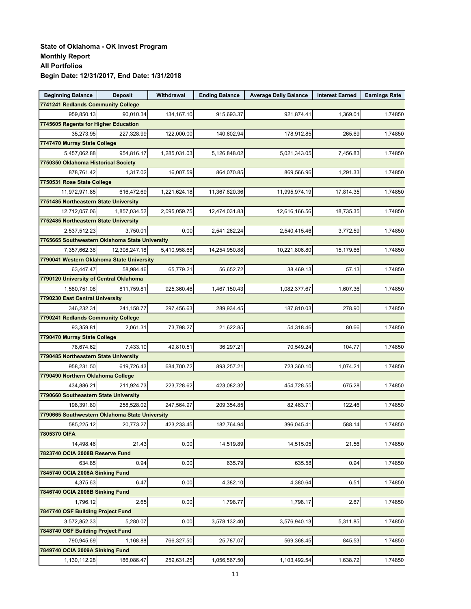| <b>Beginning Balance</b>                       | <b>Deposit</b> | Withdrawal   | <b>Ending Balance</b> | <b>Average Daily Balance</b> | <b>Interest Earned</b> | <b>Earnings Rate</b> |
|------------------------------------------------|----------------|--------------|-----------------------|------------------------------|------------------------|----------------------|
| 7741241 Redlands Community College             |                |              |                       |                              |                        |                      |
| 959.850.13                                     | 90,010.34      | 134,167.10   | 915,693.37            | 921,874.41                   | 1,369.01               | 1.74850              |
| 7745605 Regents for Higher Education           |                |              |                       |                              |                        |                      |
| 35,273.95                                      | 227,328.99     | 122,000.00   | 140,602.94            | 178,912.85                   | 265.69                 | 1.74850              |
| 7747470 Murray State College                   |                |              |                       |                              |                        |                      |
| 5,457,062.88                                   | 954,816.17     | 1,285,031.03 | 5,126,848.02          | 5,021,343.05                 | 7,456.83               | 1.74850              |
| 7750350 Oklahoma Historical Society            |                |              |                       |                              |                        |                      |
| 878,761.42                                     | 1,317.02       | 16.007.59    | 864,070.85            | 869,566.96                   | 1,291.33               | 1.74850              |
| 7750531 Rose State College                     |                |              |                       |                              |                        |                      |
| 11,972,971.85                                  | 616,472.69     | 1,221,624.18 | 11,367,820.36         | 11,995,974.19                | 17,814.35              | 1.74850              |
| 7751485 Northeastern State University          |                |              |                       |                              |                        |                      |
| 12,712,057.06                                  | 1,857,034.52   | 2,095,059.75 | 12,474,031.83         | 12,616,166.56                | 18,735.35              | 1.74850              |
| 7752485 Northeastern State University          |                |              |                       |                              |                        |                      |
| 2,537,512.23                                   | 3,750.01       | 0.00         | 2,541,262.24          | 2,540,415.46                 | 3,772.59               | 1.74850              |
| 7765665 Southwestern Oklahoma State University |                |              |                       |                              |                        |                      |
| 7,357,662.38                                   | 12,308,247.18  | 5,410,958.68 | 14,254,950.88         | 10,221,806.80                | 15,179.66              | 1.74850              |
| 7790041 Western Oklahoma State University      |                |              |                       |                              |                        |                      |
| 63.447.47                                      | 58.984.46      | 65,779.21    | 56.652.72             | 38,469.13                    | 57.13                  | 1.74850              |
| 7790120 University of Central Oklahoma         |                |              |                       |                              |                        |                      |
| 1,580,751.08                                   | 811,759.81     | 925,360.46   | 1,467,150.43          | 1,082,377.67                 | 1,607.36               | 1.74850              |
| 7790230 East Central University                |                |              |                       |                              |                        |                      |
| 346,232.31                                     | 241,158.77     | 297,456.63   | 289,934.45            | 187,810.03                   | 278.90                 | 1.74850              |
| 7790241 Redlands Community College             |                |              |                       |                              |                        |                      |
| 93,359.81                                      | 2,061.31       | 73,798.27    | 21,622.85             | 54,318.46                    | 80.66                  | 1.74850              |
| 7790470 Murray State College                   |                |              |                       |                              |                        |                      |
| 78,674.62                                      | 7,433.10       | 49,810.51    | 36,297.21             | 70,549.24                    | 104.77                 | 1.74850              |
| 7790485 Northeastern State University          |                |              |                       |                              |                        |                      |
| 958,231.50                                     | 619,726.43     | 684,700.72   | 893,257.21            | 723,360.10                   | 1,074.21               | 1.74850              |
| 7790490 Northern Oklahoma College              |                |              |                       |                              |                        |                      |
| 434,886.21                                     | 211,924.73     | 223,728.62   | 423,082.32            | 454,728.55                   | 675.28                 | 1.74850              |
| 7790660 Southeastern State University          |                |              |                       |                              |                        |                      |
| 198,391.80                                     | 258,528.02     | 247,564.97   | 209,354.85            | 82,463.71                    | 122.46                 | 1.74850              |
| 7790665 Southwestern Oklahoma State University |                |              |                       |                              |                        |                      |
| 585,225.12                                     | 20,773.27      | 423,233.45   | 182,764.94            | 396,045.41                   | 588.14                 | 1.74850              |
| 7805370 OIFA                                   |                |              |                       |                              |                        |                      |
| 14,498.46                                      | 21.43          | 0.00         | 14,519.89             | 14,515.05                    | 21.56                  | 1.74850              |
| 7823740 OCIA 2008B Reserve Fund                |                |              |                       |                              |                        |                      |
| 634.85                                         | 0.94           | 0.00         | 635.79                | 635.58                       | 0.94                   | 1.74850              |
| 7845740 OCIA 2008A Sinking Fund                |                |              |                       |                              |                        |                      |
| 4,375.63                                       | 6.47           | 0.00         | 4,382.10              | 4,380.64                     | 6.51                   | 1.74850              |
| 7846740 OCIA 2008B Sinking Fund                |                |              |                       |                              |                        |                      |
| 1,796.12                                       | 2.65           | 0.00         | 1,798.77              | 1,798.17                     | 2.67                   | 1.74850              |
| 7847740 OSF Building Project Fund              |                |              |                       |                              |                        |                      |
| 3,572,852.33                                   | 5,280.07       | 0.00         | 3,578,132.40          | 3,576,940.13                 | 5,311.85               | 1.74850              |
| 7848740 OSF Building Project Fund              |                |              |                       |                              |                        |                      |
| 790,945.69                                     | 1,168.88       | 766,327.50   | 25,787.07             | 569,368.45                   | 845.53                 | 1.74850              |
| 7849740 OCIA 2009A Sinking Fund                |                |              |                       |                              |                        |                      |
| 1,130,112.28                                   | 186,086.47     | 259,631.25   | 1,056,567.50          | 1,103,492.54                 | 1,638.72               | 1.74850              |